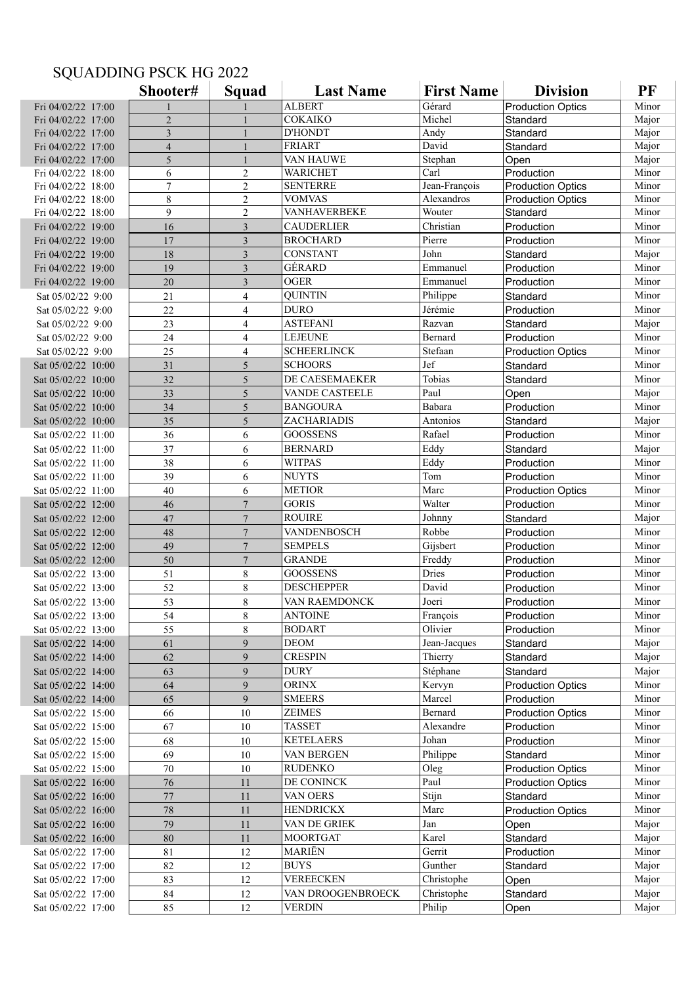## **Shooter# Squad Last Name First Name Division PF**<br> **Record Production Optics** Mino Fri 04/02/22 17:00 1 1 1 ALBERT Gérard Production Optics Minor Fri 04/02/22 17:00 2 1 COKAIKO Michel Standard Major Fri 04/02/22 17:00 3 1 D'HONDT Andy Standard Major Fri 04/02/22 17:00 <br>
Fri 04/02/22 17:00 <br>
Fri 04/02/22 17:00 <br>
5 1 VAN HAUWE Stephan Open Major Fri 04/02/22 17:00 5 1 VAN HAUWE Stephan Open Major<br>Fri 04/02/22 18:00 6 2 WARICHET Carl Production Minor Fri 04/02/22 18:00 6 2 WARICHET Carl Production Minor<br>Fri 04/02/22 18:00 7 2 SENTERRE Jean-François Production Optics Minor Fri 04/02/22 18:00 7 2 SENTERRE Jean-François Production Optics Minor<br>Fri 04/02/22 18:00 8 2 VOMVAS Alexandros Production Optics Minor Fri 04/02/22 18:00 8 2 VOMVAS Alexandros Production Optics Minor<br>Fri 04/02/22 18:00 9 2 VANHAVERBEKE Wouter Standard Minor Fri 04/02/22 18:00 9 2 VANHAVERBEKE Wouter Standard Fri 04/02/22 19:00 16 16 3 CAUDERLIER Christian Production Minor Fri 04/02/22 19:00 17 3 BROCHARD Pierre Production Minor Fri 04/02/22 19:00 18 18 3 CONSTANT John Standard Major Fri 04/02/22 19:00 19 19 3 GÉRARD Emmanuel Production Minor Fri 04/02/22 19:00 20 3 OGER Emmanuel Production Minor Sat 05/02/22 9:00 | 21 | 4 | QUINTIN Philippe | Standard | Minor Sat 05/02/22 9:00 22 4 DURO Jérémie Production Minor Sat 05/02/22 9:00 23 4 ASTEFANI Razvan Standard Major Sat 05/02/22 9:00 24 4 LEJEUNE Bernard Production Minor Sat 05/02/22 9:00 25 4 SCHEERLINCK Stefaan Production Optics Minor Sat  $0.05/02/22$   $10:00$  31 5 SCHOORS Jef Standard Minor Sat 05/02/22 10:00 32 5 DE CAESEMAEKER Tobias Standard Minor<br>Sat 05/02/22 10:00 33 5 VANDE CASTEELE Paul Open Maior Sat 05/02/22 10:00 | 33 | 5 | VANDE CASTEELE Paul | Open | Major Sat 05/02/22 10:00 34 5 BANGOURA Babara Production Minor Sat 05/02/22 10:00 35 5 ZACHARIADIS Antonios Standard Major Sat 05/02/22 11:00 36 6 GOOSSENS Rafael Production Minor Sat 05/02/22 11:00 37 6 BERNARD Eddy Standard Major  $\text{Sat } 05/02/22$  11:00 38 6 WITPAS Eddy Production Minor Sat 05/02/22 11:00 39 6 NUYTS Tom Production Minor Sat 05/02/22 11:00 40 6 METIOR Marc Production Optics Minor<br>Sat 05/02/22 12:00 46 7 GORIS Walter Production Minor Sat  $0.5/02/22$  12:00 46 7 GORIS Walter Production Sat 05/02/22 12:00 47 7 ROUIRE Johnny Standard Major Sat 05/02/22 12:00 48 7 VANDENBOSCH Robbe Production Minor Sat 05/02/22 12:00 49 7 SEMPELS Gijsbert Production Minor Sat 05/02/22 12:00 50 7 GRANDE Freddy Production Minor Sat 05/02/22 13:00 51 8 GOOSSENS Dries Production Minor Sat 05/02/22 13:00 52 8 DESCHEPPER David Production Minor Sat 05/02/22 13:00 | 53 | 8 | VAN RAEMDONCK Joeri | Production | Minor Sat 05/02/22 13:00 54 8 ANTOINE François Production Minor Sat 05/02/22 13:00 55 8 BODART Olivier Production Minor Sat 05/02/22 14:00 61 9 DEOM Jean-Jacques Standard Major Sat 05/02/22 14:00 62 9 CRESPIN Thierry Standard Major<br>Sat 05/02/22 14:00 63 9 DURY Stéphane Standard Major Sat 05/02/22 14:00 63 9 DURY Stéphane Standard Major Sat 05/02/22 14:00 64 9 ORINX Kervyn Production Optics Minor Sat 05/02/22 14:00 | 65 | 9 | SMEERS Marcel Production | Minor Sat 05/02/22 15:00 66 10 ZEIMES Bernard Production Optics Minor Sat 05/02/22 15:00 67 10 TASSET Alexandre Production Minor Sat 05/02/22 15:00 68 10 KETELAERS Johan Production Minor Sat 05/02/22 15:00 69 10 VAN BERGEN Philippe Standard Minor Sat 05/02/22 15:00 70 10 RUDENKO Oleg Production Optics Minor Sat 05/02/22 16:00 76 11 DE CONINCK Paul Production Optics Minor Sat 05/02/22 16:00 77 | 11 VAN OERS Stijn Standard Minor Sat 05/02/22 16:00 78 11 HENDRICKX Marc Production Optics Minor Sat 05/02/22 16:00 79 11 VAN DE GRIEK Jan Open Major Sat 05/02/22 16:00 80 11 MOORTGAT Karel Standard Major Sat 05/02/22 17:00 81 12 MARIËN Gerrit Production Minor Sat 05/02/22 17:00 82 12 BUYS Gunther Standard Major Sat 05/02/22 17:00 83 12 VEREECKEN Christophe Open Major Sat 05/02/22 17:00 84 12 VAN DROOGENBROECK Christophe Standard Major<br>Sat 05/02/22 17:00 85 12 VERDIN Philip Open Major Sat 05/02/22 17:00 85 12 VERDIN Philip Open Major

## SQUADDING PSCK HG 2022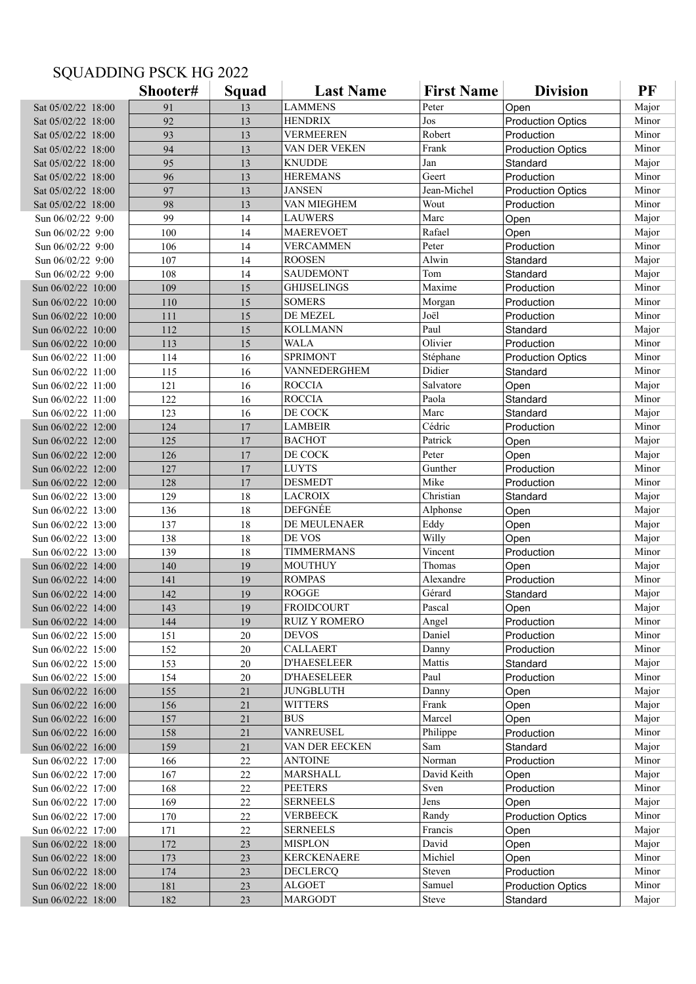## SQUADDING PSCK HG 2022

|                    | Shooter# | Squad | <b>Last Name</b>     | <b>First Name</b> | <b>Division</b>          | PF    |
|--------------------|----------|-------|----------------------|-------------------|--------------------------|-------|
| Sat 05/02/22 18:00 | 91       | 13    | <b>LAMMENS</b>       | Peter             | Open                     | Major |
| Sat 05/02/22 18:00 | 92       | 13    | <b>HENDRIX</b>       | Jos               | <b>Production Optics</b> | Minor |
| Sat 05/02/22 18:00 | 93       | 13    | <b>VERMEEREN</b>     | Robert            | Production               | Minor |
| Sat 05/02/22 18:00 | 94       | 13    | VAN DER VEKEN        | Frank             | <b>Production Optics</b> | Minor |
| Sat 05/02/22 18:00 | 95       | 13    | <b>KNUDDE</b>        | Jan               | Standard                 | Major |
| Sat 05/02/22 18:00 | 96       | 13    | <b>HEREMANS</b>      | Geert             | Production               | Minor |
| Sat 05/02/22 18:00 | 97       | 13    | <b>JANSEN</b>        | Jean-Michel       | <b>Production Optics</b> | Minor |
| Sat 05/02/22 18:00 | 98       | 13    | VAN MIEGHEM          | Wout              | Production               | Minor |
| Sun 06/02/22 9:00  | 99       | 14    | <b>LAUWERS</b>       | Marc              | Open                     | Major |
| Sun 06/02/22 9:00  | 100      | 14    | <b>MAEREVOET</b>     | Rafael            | Open                     | Major |
| Sun 06/02/22 9:00  | 106      | 14    | <b>VERCAMMEN</b>     | Peter             | Production               | Minor |
| Sun 06/02/22 9:00  | 107      | 14    | <b>ROOSEN</b>        | Alwin             | Standard                 | Major |
| Sun 06/02/22 9:00  | 108      | 14    | <b>SAUDEMONT</b>     | Tom               | Standard                 | Major |
| Sun 06/02/22 10:00 | 109      | 15    | <b>GHIJSELINGS</b>   | Maxime            | Production               | Minor |
| Sun 06/02/22 10:00 | 110      | 15    | <b>SOMERS</b>        | Morgan            | Production               | Minor |
| Sun 06/02/22 10:00 | 111      | 15    | DE MEZEL             | Joël              | Production               | Minor |
| Sun 06/02/22 10:00 | 112      | 15    | <b>KOLLMANN</b>      | Paul              | Standard                 | Major |
| Sun 06/02/22 10:00 | 113      | 15    | <b>WALA</b>          | Olivier           | Production               | Minor |
| Sun 06/02/22 11:00 | 114      | 16    | <b>SPRIMONT</b>      | Stéphane          | <b>Production Optics</b> | Minor |
| Sun 06/02/22 11:00 | 115      | 16    | VANNEDERGHEM         | Didier            | Standard                 | Minor |
| Sun 06/02/22 11:00 | 121      | 16    | <b>ROCCIA</b>        | Salvatore         | Open                     | Major |
| Sun 06/02/22 11:00 | 122      | 16    | <b>ROCCIA</b>        | Paola             | Standard                 | Minor |
| Sun 06/02/22 11:00 | 123      | 16    | DE COCK              | Marc              | Standard                 | Major |
| Sun 06/02/22 12:00 | 124      | 17    | <b>LAMBEIR</b>       | Cédric            | Production               | Minor |
| Sun 06/02/22 12:00 | 125      | 17    | <b>BACHOT</b>        | Patrick           | Open                     | Major |
| Sun 06/02/22 12:00 | 126      | 17    | DE COCK              | Peter             | Open                     | Major |
| Sun 06/02/22 12:00 | 127      | 17    | <b>LUYTS</b>         | Gunther           | Production               | Minor |
| Sun 06/02/22 12:00 | 128      | 17    | <b>DESMEDT</b>       | Mike              | Production               | Minor |
| Sun 06/02/22 13:00 | 129      | 18    | <b>LACROIX</b>       | Christian         | Standard                 | Major |
| Sun 06/02/22 13:00 | 136      | 18    | <b>DEFGNÉE</b>       | Alphonse          | Open                     | Major |
| Sun 06/02/22 13:00 | 137      | 18    | DE MEULENAER         | Eddy              | Open                     | Major |
| Sun 06/02/22 13:00 | 138      | 18    | DE VOS               | Willy             | Open                     | Major |
| Sun 06/02/22 13:00 | 139      | 18    | <b>TIMMERMANS</b>    | Vincent           | Production               | Minor |
| Sun 06/02/22 14:00 | 140      | 19    | MOUTHUY              | Thomas            | Open                     | Major |
| Sun 06/02/22 14:00 | 141      | 19    | <b>ROMPAS</b>        | Alexandre         | Production               | Minor |
| Sun 06/02/22 14:00 | 142      | 19    | <b>ROGGE</b>         | Gérard            | Standard                 | Major |
| Sun 06/02/22 14:00 | 143      | 19    | <b>FROIDCOURT</b>    | Pascal            | Open                     | Major |
| Sun 06/02/22 14:00 | 144      | 19    | <b>RUIZ Y ROMERO</b> | Angel             | Production               | Minor |
| Sun 06/02/22 15:00 | 151      | 20    | <b>DEVOS</b>         | Daniel            | Production               | Minor |
| Sun 06/02/22 15:00 | 152      | 20    | <b>CALLAERT</b>      | Danny             | Production               | Minor |
| Sun 06/02/22 15:00 | 153      | 20    | <b>D'HAESELEER</b>   | Mattis            | Standard                 | Major |
| Sun 06/02/22 15:00 | 154      | 20    | <b>D'HAESELEER</b>   | Paul              | Production               | Minor |
| Sun 06/02/22 16:00 | 155      | 21    | <b>JUNGBLUTH</b>     | Danny             | Open                     | Major |
| Sun 06/02/22 16:00 | 156      | 21    | <b>WITTERS</b>       | Frank             | Open                     | Major |
| Sun 06/02/22 16:00 | 157      | 21    | <b>BUS</b>           | Marcel            | Open                     | Major |
| Sun 06/02/22 16:00 | 158      | 21    | VANREUSEL            | Philippe          | Production               | Minor |
| Sun 06/02/22 16:00 | 159      | 21    | VAN DER EECKEN       | Sam               | Standard                 | Major |
| Sun 06/02/22 17:00 | 166      | 22    | <b>ANTOINE</b>       | Norman            | Production               | Minor |
| Sun 06/02/22 17:00 | 167      | 22    | MARSHALL             | David Keith       | Open                     | Major |
| Sun 06/02/22 17:00 | 168      | 22    | <b>PEETERS</b>       | Sven              | Production               | Minor |
| Sun 06/02/22 17:00 | 169      | 22    | <b>SERNEELS</b>      | Jens              | Open                     | Major |
| Sun 06/02/22 17:00 | 170      | 22    | <b>VERBEECK</b>      | Randy             | <b>Production Optics</b> | Minor |
| Sun 06/02/22 17:00 | 171      | 22    | <b>SERNEELS</b>      | Francis           | Open                     | Major |
| Sun 06/02/22 18:00 | 172      | 23    | <b>MISPLON</b>       | David             | Open                     | Major |
| Sun 06/02/22 18:00 | 173      | 23    | <b>KERCKENAERE</b>   | Michiel           | Open                     | Minor |
| Sun 06/02/22 18:00 | 174      | 23    | <b>DECLERCQ</b>      | Steven            | Production               | Minor |
| Sun 06/02/22 18:00 | 181      | 23    | <b>ALGOET</b>        | Samuel            | <b>Production Optics</b> | Minor |
| Sun 06/02/22 18:00 | 182      | 23    | <b>MARGODT</b>       | Steve             | Standard                 | Major |